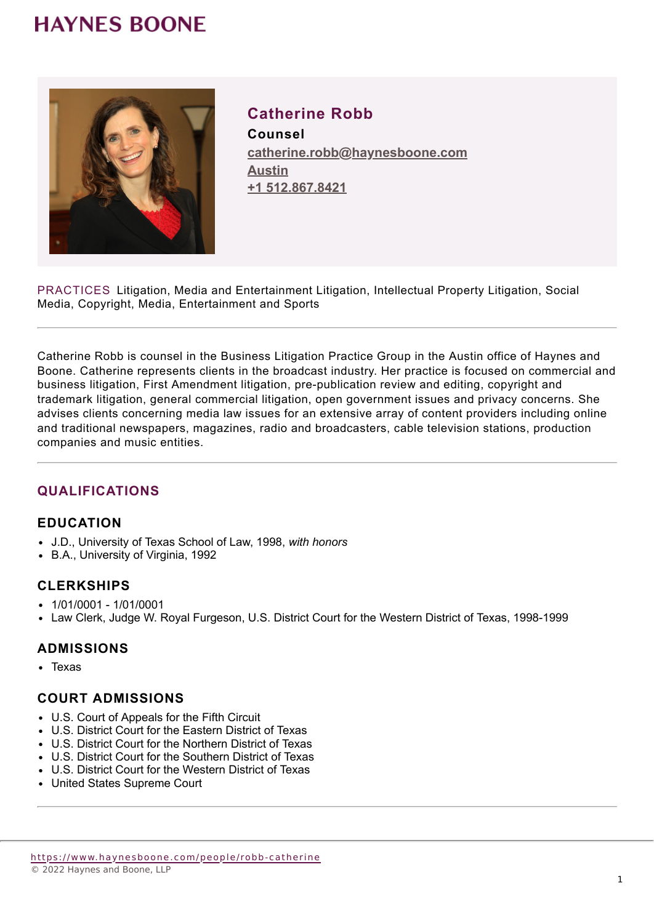### **HAYNES BOONE**



### **Catherine Robb**

**Counsel catherine.robb@haynesboone.com [Austin](https://www.haynesboone.com/locations/austin) [+1 512.867.8421](tel://+1 512.867.8421)**

PRACTICES Litigation, Media and Entertainment Litigation, Intellectual Property Litigation, Social Media, Copyright, Media, Entertainment and Sports

Catherine Robb is counsel in the Business Litigation Practice Group in the Austin office of Haynes and Boone. Catherine represents clients in the broadcast industry. Her practice is focused on commercial and business litigation, First Amendment litigation, pre-publication review and editing, copyright and trademark litigation, general commercial litigation, open government issues and privacy concerns. She advises clients concerning media law issues for an extensive array of content providers including online and traditional newspapers, magazines, radio and broadcasters, cable television stations, production companies and music entities.

### **QUALIFICATIONS**

### **EDUCATION**

- J.D., University of Texas School of Law, 1998, *with honors*
- B.A., University of Virginia, 1992

### **CLERKSHIPS**

- 1/01/0001 1/01/0001
- Law Clerk, Judge W. Royal Furgeson, U.S. District Court for the Western District of Texas, 1998-1999

### **ADMISSIONS**

• Texas

### **COURT ADMISSIONS**

- U.S. Court of Appeals for the Fifth Circuit
- U.S. District Court for the Eastern District of Texas
- U.S. District Court for the Northern District of Texas
- U.S. District Court for the Southern District of Texas
- U.S. District Court for the Western District of Texas
- United States Supreme Court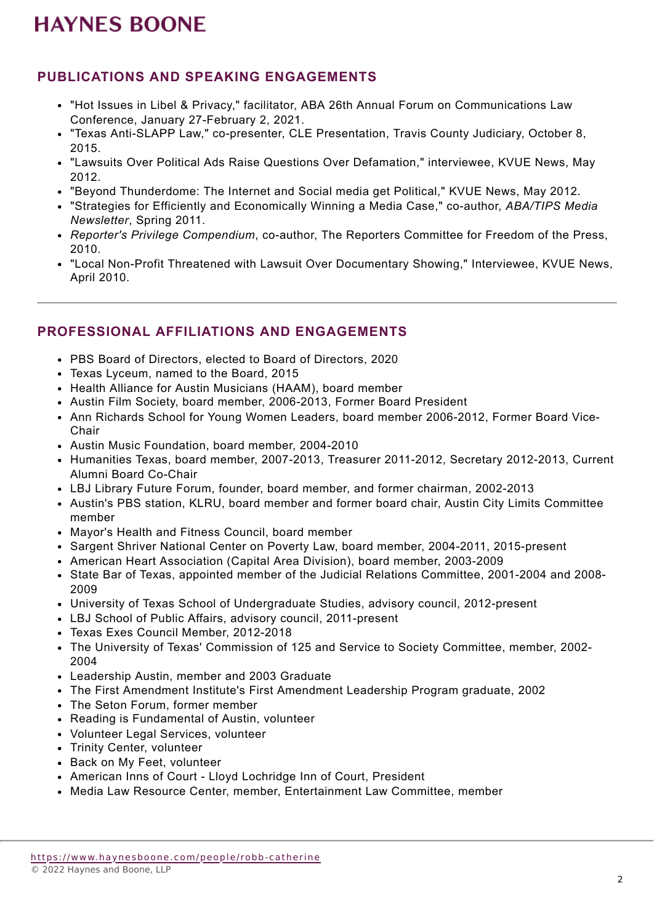## **HAYNES BOONE**

### **PUBLICATIONS AND SPEAKING ENGAGEMENTS**

- "Hot Issues in Libel & Privacy," facilitator, ABA 26th Annual Forum on Communications Law Conference, January 27-February 2, 2021.
- "Texas Anti-SLAPP Law," co-presenter, CLE Presentation, Travis County Judiciary, October 8, 2015.
- "Lawsuits Over Political Ads Raise Questions Over Defamation," interviewee, KVUE News, May 2012.
- "Beyond Thunderdome: The Internet and Social media get Political," KVUE News, May 2012.
- "Strategies for Efficiently and Economically Winning a Media Case," co-author, *ABA/TIPS Media Newsletter*, Spring 2011.
- *Reporter's Privilege Compendium*, co-author, The Reporters Committee for Freedom of the Press, 2010.
- "Local Non-Profit Threatened with Lawsuit Over Documentary Showing," Interviewee, KVUE News, April 2010.

### **PROFESSIONAL AFFILIATIONS AND ENGAGEMENTS**

- PBS Board of Directors, elected to Board of Directors, 2020
- Texas Lyceum, named to the Board, 2015
- Health Alliance for Austin Musicians (HAAM), board member
- Austin Film Society, board member, 2006-2013, Former Board President
- Ann Richards School for Young Women Leaders, board member 2006-2012, Former Board Vice-**Chair**
- Austin Music Foundation, board member, 2004-2010
- Humanities Texas, board member, 2007-2013, Treasurer 2011-2012, Secretary 2012-2013, Current Alumni Board Co-Chair
- LBJ Library Future Forum, founder, board member, and former chairman, 2002-2013
- Austin's PBS station, KLRU, board member and former board chair, Austin City Limits Committee member
- Mayor's Health and Fitness Council, board member
- Sargent Shriver National Center on Poverty Law, board member, 2004-2011, 2015-present
- American Heart Association (Capital Area Division), board member, 2003-2009
- State Bar of Texas, appointed member of the Judicial Relations Committee, 2001-2004 and 2008- 2009
- University of Texas School of Undergraduate Studies, advisory council, 2012-present
- LBJ School of Public Affairs, advisory council, 2011-present
- Texas Exes Council Member, 2012-2018
- The University of Texas' Commission of 125 and Service to Society Committee, member, 2002-2004
- Leadership Austin, member and 2003 Graduate
- The First Amendment Institute's First Amendment Leadership Program graduate, 2002
- The Seton Forum, former member
- Reading is Fundamental of Austin, volunteer
- Volunteer Legal Services, volunteer
- Trinity Center, volunteer
- Back on My Feet, volunteer
- American Inns of Court Lloyd Lochridge Inn of Court, President
- Media Law Resource Center, member, Entertainment Law Committee, member